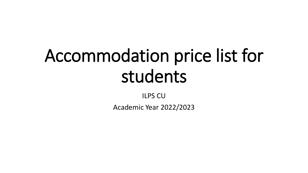## Accommodation price list for students

ILPS CU

Academic Year 2022/2023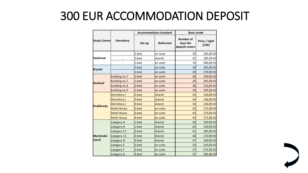## 300 EUR ACCOMMODATION DEPOSIT

|                    | <b>Dormitory</b>         | <b>Accommodation standard</b> |                 | <b>Basic mode</b>                              |                        |  |
|--------------------|--------------------------|-------------------------------|-----------------|------------------------------------------------|------------------------|--|
| Study Centre       |                          | Set-up                        | <b>Bathroom</b> | <b>Number of</b><br>days the<br>deposit covers | Price / night<br>[CZK] |  |
| Vyšehrad           | $\overline{\phantom{0}}$ | 2-bed                         | en suite        | 29                                             | 265,00 Kč              |  |
|                    |                          | 2-bed                         | shared          | 41                                             | 185,00 Kč              |  |
|                    |                          | 1-bed                         | len suite       | 19                                             | 400,00 Kč              |  |
| Krystal            |                          | 2-bed                         | len suite       | 29                                             | 265,00 Kč              |  |
|                    |                          | 1-bed                         | en suite        | 20                                             | 370,00 Kč              |  |
| <b>Hostivař</b>    | building no.7            | $2$ -bed                      | en suite        | 40                                             | 190,00 Kč              |  |
|                    | building no.7            | 1-bed                         | en suite        | 29                                             | 265,00 Kč              |  |
|                    | building no.3            | 2-bed                         | en suite        | 36                                             | 210,00 Kč              |  |
|                    | building no.3            | 1-bed                         | en suite        | 26                                             | 295,00 Kč              |  |
| Poděbrady          | Dormitory I              | 2-bed                         | shared          | 54                                             | 140,00 Kč              |  |
|                    | Dormitory I              | 3-bed                         | shared          | 54                                             | 140,00 Kč              |  |
|                    | Dormitory I              | 4-bed                         | shared          | 54                                             | 140,00 Kč              |  |
|                    | <b>Hotel House</b>       | 2-bed                         | en suite        | 43                                             | 175,00 Kč              |  |
|                    | <b>Hotel House</b>       | 3-bed                         | len suite       | 43                                             | 175,00 Kč              |  |
|                    | <b>Hotel House</b>       | 4-bed                         | en suite        | 43                                             | 175,00 Kč              |  |
| Mariánské<br>Lázně | category A               | 1-bed                         | shared          | 30 <sup>2</sup>                                | 250,00 Kč              |  |
|                    | category B               | $1$ -bed                      | Ishared         | 63                                             | 120,00 Kč              |  |
|                    | category C1              | 2-bed                         | Ishared         | 41                                             | 185,00 Kč              |  |
|                    | category C2              | 2-bed                         | Ishared         | 44                                             | 170,00 Kč              |  |
|                    | category D               | 3-bed                         | shared          | 47                                             | 160,00 Kč              |  |
|                    | category E               | 2-bed                         | en suite        | 32                                             | 235,00 Kč              |  |
|                    | category F               | 2-bed                         | en suite        | 27                                             | 275,00 Kč              |  |
|                    | category G               | 3-bed                         | len suite       | 37                                             | 205,00 Kč              |  |